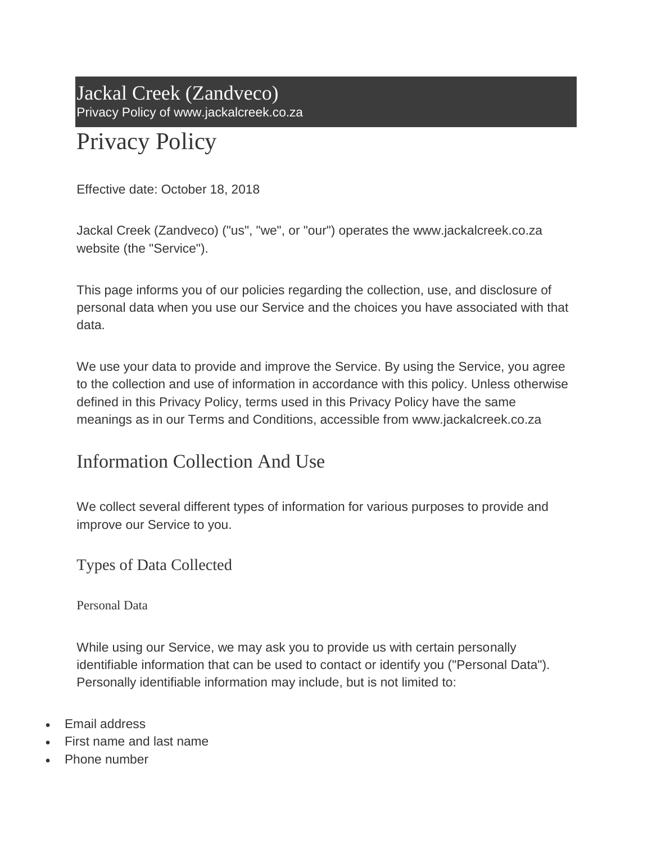Jackal Creek (Zandveco) Privacy Policy of www.jackalcreek.co.za

# Privacy Policy

Effective date: October 18, 2018

Jackal Creek (Zandveco) ("us", "we", or "our") operates the www.jackalcreek.co.za website (the "Service").

This page informs you of our policies regarding the collection, use, and disclosure of personal data when you use our Service and the choices you have associated with that data.

We use your data to provide and improve the Service. By using the Service, you agree to the collection and use of information in accordance with this policy. Unless otherwise defined in this Privacy Policy, terms used in this Privacy Policy have the same meanings as in our Terms and Conditions, accessible from www.jackalcreek.co.za

# Information Collection And Use

We collect several different types of information for various purposes to provide and improve our Service to you.

Types of Data Collected

Personal Data

While using our Service, we may ask you to provide us with certain personally identifiable information that can be used to contact or identify you ("Personal Data"). Personally identifiable information may include, but is not limited to:

- Email address
- First name and last name
- Phone number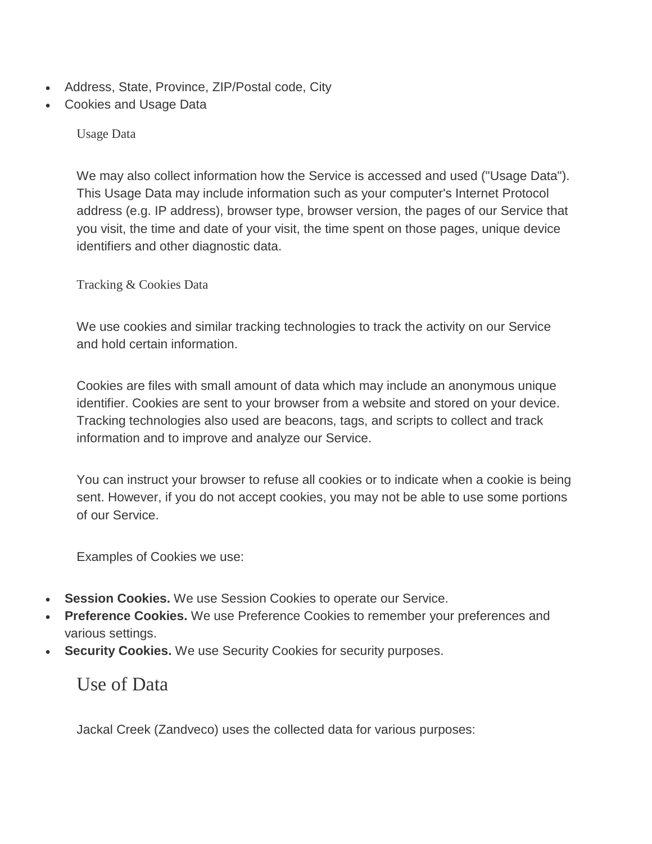- Address, State, Province, ZIP/Postal code, City
- Cookies and Usage Data

Usage Data

We may also collect information how the Service is accessed and used ("Usage Data"). This Usage Data may include information such as your computer's Internet Protocol address (e.g. IP address), browser type, browser version, the pages of our Service that you visit, the time and date of your visit, the time spent on those pages, unique device identifiers and other diagnostic data.

Tracking & Cookies Data

We use cookies and similar tracking technologies to track the activity on our Service and hold certain information.

Cookies are files with small amount of data which may include an anonymous unique identifier. Cookies are sent to your browser from a website and stored on your device. Tracking technologies also used are beacons, tags, and scripts to collect and track information and to improve and analyze our Service.

You can instruct your browser to refuse all cookies or to indicate when a cookie is being sent. However, if you do not accept cookies, you may not be able to use some portions of our Service.

Examples of Cookies we use:

- **Session Cookies.** We use Session Cookies to operate our Service.
- **Preference Cookies.** We use Preference Cookies to remember your preferences and various settings.
- **Security Cookies.** We use Security Cookies for security purposes.

Use of Data

Jackal Creek (Zandveco) uses the collected data for various purposes: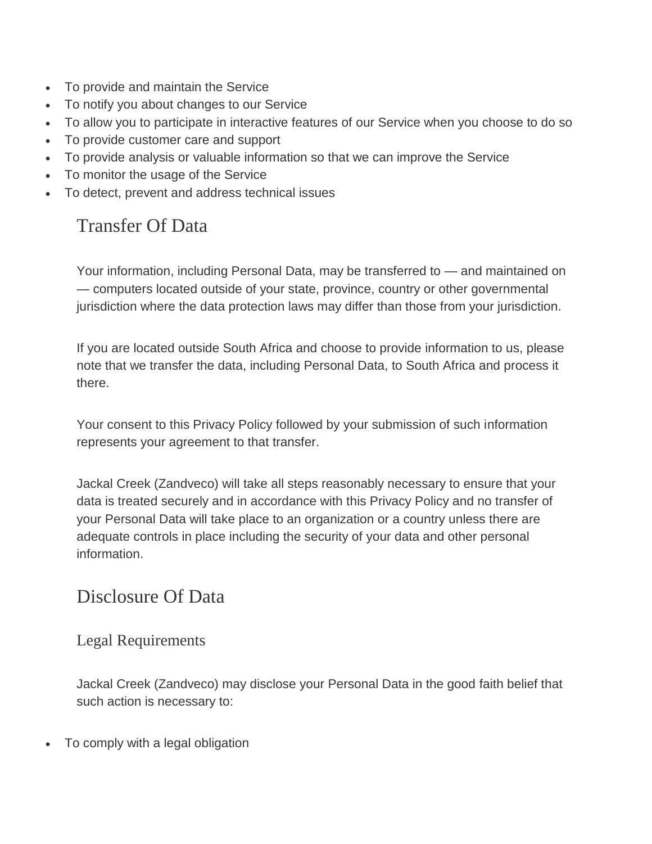- To provide and maintain the Service
- To notify you about changes to our Service
- To allow you to participate in interactive features of our Service when you choose to do so
- To provide customer care and support
- To provide analysis or valuable information so that we can improve the Service
- To monitor the usage of the Service
- To detect, prevent and address technical issues

# Transfer Of Data

Your information, including Personal Data, may be transferred to — and maintained on — computers located outside of your state, province, country or other governmental jurisdiction where the data protection laws may differ than those from your jurisdiction.

If you are located outside South Africa and choose to provide information to us, please note that we transfer the data, including Personal Data, to South Africa and process it there.

Your consent to this Privacy Policy followed by your submission of such information represents your agreement to that transfer.

Jackal Creek (Zandveco) will take all steps reasonably necessary to ensure that your data is treated securely and in accordance with this Privacy Policy and no transfer of your Personal Data will take place to an organization or a country unless there are adequate controls in place including the security of your data and other personal information.

### Disclosure Of Data

#### Legal Requirements

Jackal Creek (Zandveco) may disclose your Personal Data in the good faith belief that such action is necessary to:

To comply with a legal obligation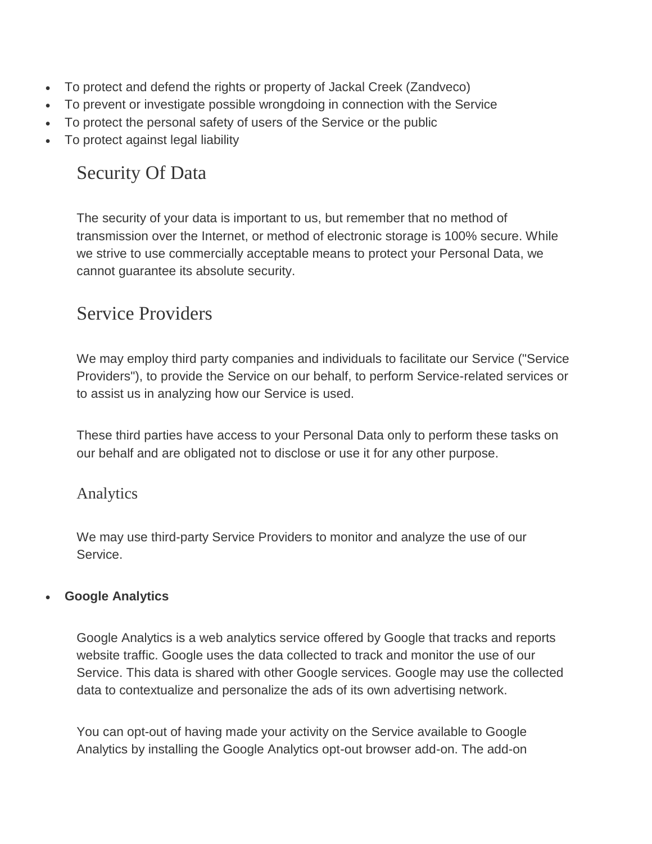- To protect and defend the rights or property of Jackal Creek (Zandveco)
- To prevent or investigate possible wrongdoing in connection with the Service
- To protect the personal safety of users of the Service or the public
- To protect against legal liability

# Security Of Data

The security of your data is important to us, but remember that no method of transmission over the Internet, or method of electronic storage is 100% secure. While we strive to use commercially acceptable means to protect your Personal Data, we cannot guarantee its absolute security.

# Service Providers

We may employ third party companies and individuals to facilitate our Service ("Service Providers"), to provide the Service on our behalf, to perform Service-related services or to assist us in analyzing how our Service is used.

These third parties have access to your Personal Data only to perform these tasks on our behalf and are obligated not to disclose or use it for any other purpose.

#### Analytics

We may use third-party Service Providers to monitor and analyze the use of our Service.

#### **Google Analytics**

Google Analytics is a web analytics service offered by Google that tracks and reports website traffic. Google uses the data collected to track and monitor the use of our Service. This data is shared with other Google services. Google may use the collected data to contextualize and personalize the ads of its own advertising network.

You can opt-out of having made your activity on the Service available to Google Analytics by installing the Google Analytics opt-out browser add-on. The add-on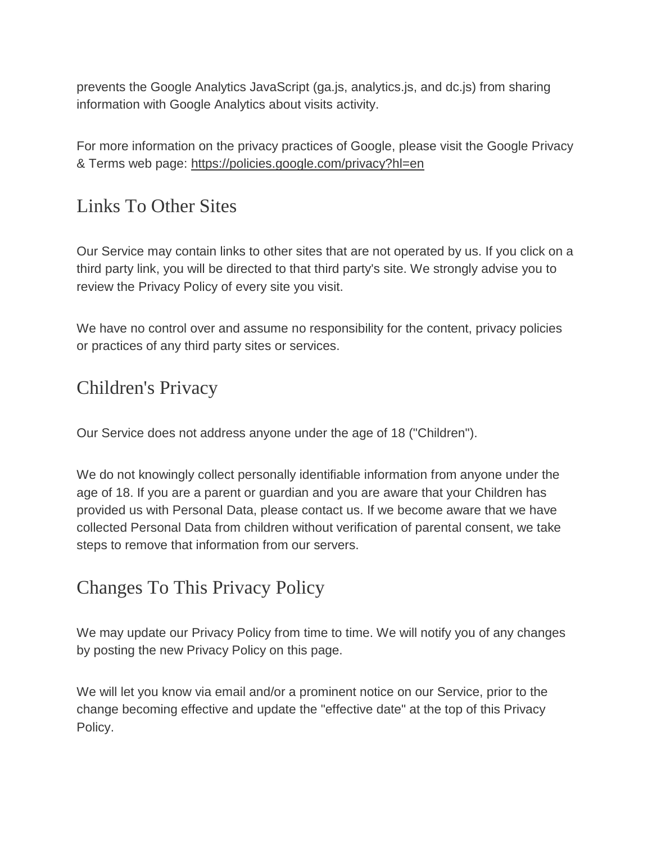prevents the Google Analytics JavaScript (ga.js, analytics.js, and dc.js) from sharing information with Google Analytics about visits activity.

For more information on the privacy practices of Google, please visit the Google Privacy & Terms web page: <https://policies.google.com/privacy?hl=en>

### Links To Other Sites

Our Service may contain links to other sites that are not operated by us. If you click on a third party link, you will be directed to that third party's site. We strongly advise you to review the Privacy Policy of every site you visit.

We have no control over and assume no responsibility for the content, privacy policies or practices of any third party sites or services.

### Children's Privacy

Our Service does not address anyone under the age of 18 ("Children").

We do not knowingly collect personally identifiable information from anyone under the age of 18. If you are a parent or guardian and you are aware that your Children has provided us with Personal Data, please contact us. If we become aware that we have collected Personal Data from children without verification of parental consent, we take steps to remove that information from our servers.

# Changes To This Privacy Policy

We may update our Privacy Policy from time to time. We will notify you of any changes by posting the new Privacy Policy on this page.

We will let you know via email and/or a prominent notice on our Service, prior to the change becoming effective and update the "effective date" at the top of this Privacy Policy.